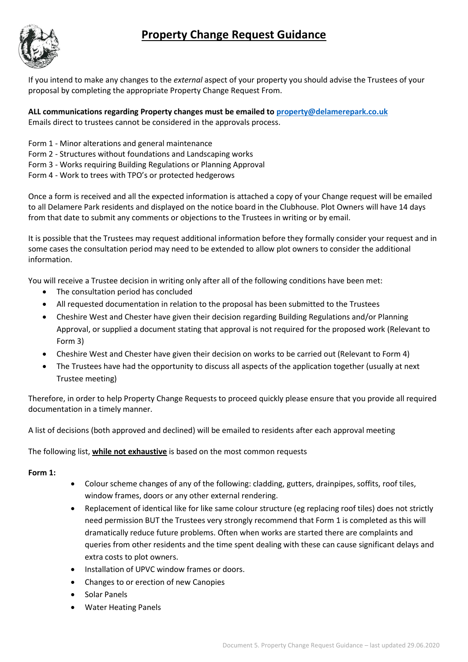# **Property Change Request Guidance**



If you intend to make any changes to the *external* aspect of your property you should advise the Trustees of your proposal by completing the appropriate Property Change Request From.

**ALL communications regarding Property changes must be emailed to [property@delamerepark.co.uk](mailto:property@delamerepark.co.uk)** Emails direct to trustees cannot be considered in the approvals process.

- Form 1 Minor alterations and general maintenance
- Form 2 Structures without foundations and Landscaping works
- Form 3 Works requiring Building Regulations or Planning Approval
- Form 4 Work to trees with TPO's or protected hedgerows

Once a form is received and all the expected information is attached a copy of your Change request will be emailed to all Delamere Park residents and displayed on the notice board in the Clubhouse. Plot Owners will have 14 days from that date to submit any comments or objections to the Trustees in writing or by email.

It is possible that the Trustees may request additional information before they formally consider your request and in some cases the consultation period may need to be extended to allow plot owners to consider the additional information.

You will receive a Trustee decision in writing only after all of the following conditions have been met:

- The consultation period has concluded
- All requested documentation in relation to the proposal has been submitted to the Trustees
- Cheshire West and Chester have given their decision regarding Building Regulations and/or Planning Approval, or supplied a document stating that approval is not required for the proposed work (Relevant to Form 3)
- Cheshire West and Chester have given their decision on works to be carried out (Relevant to Form 4)
- The Trustees have had the opportunity to discuss all aspects of the application together (usually at next Trustee meeting)

Therefore, in order to help Property Change Requests to proceed quickly please ensure that you provide all required documentation in a timely manner.

A list of decisions (both approved and declined) will be emailed to residents after each approval meeting

The following list, **while not exhaustive** is based on the most common requests

#### **Form 1:**

- Colour scheme changes of any of the following: cladding, gutters, drainpipes, soffits, roof tiles, window frames, doors or any other external rendering.
- Replacement of identical like for like same colour structure (eg replacing roof tiles) does not strictly need permission BUT the Trustees very strongly recommend that Form 1 is completed as this will dramatically reduce future problems. Often when works are started there are complaints and queries from other residents and the time spent dealing with these can cause significant delays and extra costs to plot owners.
- Installation of UPVC window frames or doors.
- Changes to or erection of new Canopies
- Solar Panels
- Water Heating Panels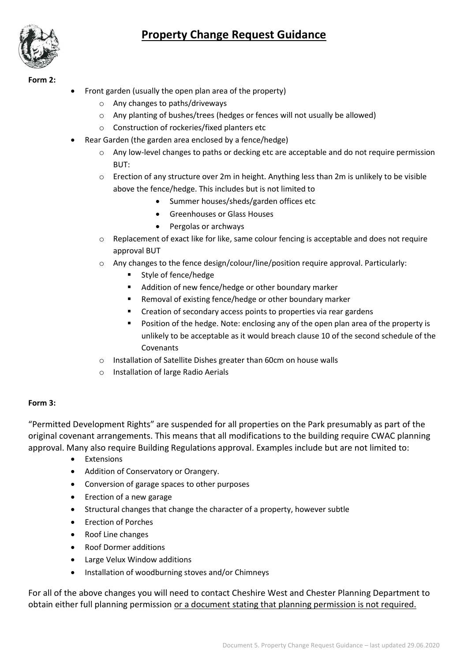# **Property Change Request Guidance**



**Form 2:**

- Front garden (usually the open plan area of the property)
	- o Any changes to paths/driveways
	- o Any planting of bushes/trees (hedges or fences will not usually be allowed)
	- o Construction of rockeries/fixed planters etc
	- Rear Garden (the garden area enclosed by a fence/hedge)
		- o Any low-level changes to paths or decking etc are acceptable and do not require permission BUT:
		- $\circ$  Erection of any structure over 2m in height. Anything less than 2m is unlikely to be visible above the fence/hedge. This includes but is not limited to
			- Summer houses/sheds/garden offices etc
			- Greenhouses or Glass Houses
			- Pergolas or archways
		- o Replacement of exact like for like, same colour fencing is acceptable and does not require approval BUT
		- $\circ$  Any changes to the fence design/colour/line/position require approval. Particularly:
			- Style of fence/hedge
			- Addition of new fence/hedge or other boundary marker
			- Removal of existing fence/hedge or other boundary marker
			- Creation of secondary access points to properties via rear gardens
			- Position of the hedge. Note: enclosing any of the open plan area of the property is unlikely to be acceptable as it would breach clause 10 of the second schedule of the Covenants
		- o Installation of Satellite Dishes greater than 60cm on house walls
		- o Installation of large Radio Aerials

## **Form 3:**

"Permitted Development Rights" are suspended for all properties on the Park presumably as part of the original covenant arrangements. This means that all modifications to the building require CWAC planning approval. Many also require Building Regulations approval. Examples include but are not limited to:

- Extensions
- Addition of Conservatory or Orangery.
- Conversion of garage spaces to other purposes
- Erection of a new garage
- Structural changes that change the character of a property, however subtle
- Erection of Porches
- Roof Line changes
- Roof Dormer additions
- Large Velux Window additions
- Installation of woodburning stoves and/or Chimneys

For all of the above changes you will need to contact Cheshire West and Chester Planning Department to obtain either full planning permission or a document stating that planning permission is not required.